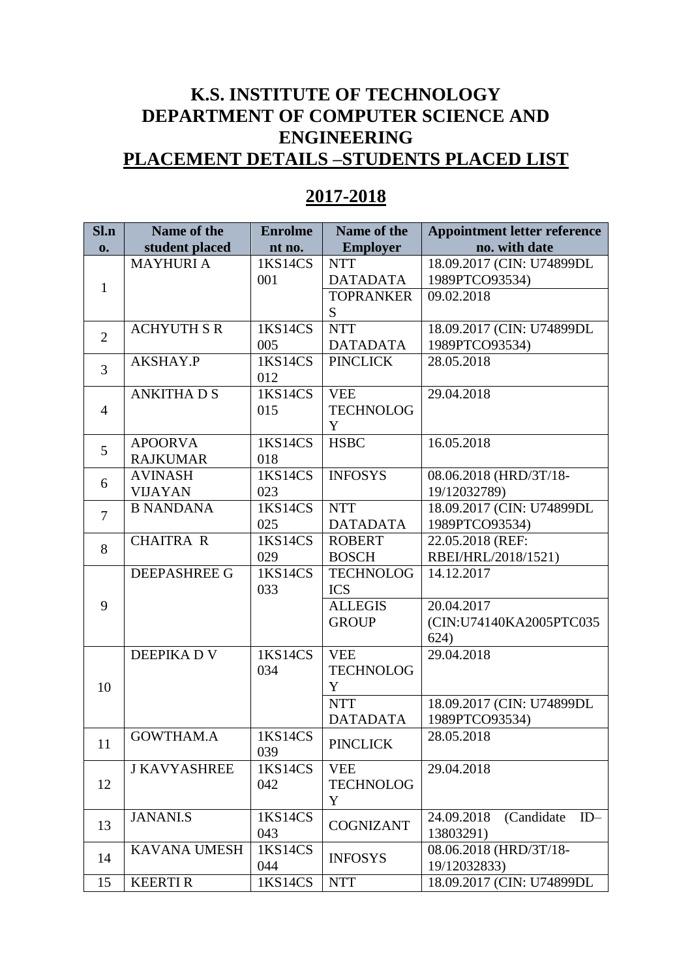## **K.S. INSTITUTE OF TECHNOLOGY DEPARTMENT OF COMPUTER SCIENCE AND ENGINEERING PLACEMENT DETAILS –STUDENTS PLACED LIST**

## **Sl.n o. Name of the student placed Enrolme nt no. Name of the Employer Appointment letter reference no. with date** 1 MAYHURI A 1KS14CS 001 NTT DATADATA 18.09.2017 (CIN: U74899DL 1989PTCO93534) TOPRANKER S 09.02.2018 2 ACHYUTH S R 1KS14CS 005 NTT DATADATA 1989PTCO93534) 18.09.2017 (CIN: U74899DL 3 AKSHAY.P 1KS14CS 012 PINCLICK 28.05.2018 4 ANKITHA D S 1KS14CS 015 VEE TECHNOLOG Y 29.04.2018 5 APOORVA RAJKUMAR 1KS14CS 018 HSBC 16.05.2018 6 AVINASH VIJAYAN 1KS14CS 023 INFOSYS 08.06.2018 (HRD/3T/18- 19/12032789) 7 B NANDANA | 1KS14CS 025 NTT DATADATA 18.09.2017 (CIN: U74899DL 1989PTCO93534) 8 CHAITRA R 1KS14CS 029 ROBERT **BOSCH** 22.05.2018 (REF: RBEI/HRL/2018/1521) 9 DEEPASHREE G | 1KS14CS 033 TECHNOLOG ICS 14.12.2017 ALLEGIS **GROUP** 20.04.2017 624) 10 DEEPIKA D V 1KS14CS 034 VEE TECHNOLOG Y 29.04.2018

## **2017-2018**

|                |                                   | $\mathsf{v}\mathsf{v}\mathsf{v}$ |                                                                      | 1,0,1 1 0 0 <i>,000</i> 1 <i>j</i>                           |
|----------------|-----------------------------------|----------------------------------|----------------------------------------------------------------------|--------------------------------------------------------------|
| $\overline{3}$ | AKSHAY.P                          | 1KS14CS<br>012                   | <b>PINCLICK</b>                                                      | 28.05.2018                                                   |
| $\overline{4}$ | <b>ANKITHADS</b>                  | 1KS14CS<br>015                   | <b>VEE</b><br><b>TECHNOLOG</b><br>Y                                  | 29.04.2018                                                   |
| 5              | <b>APOORVA</b><br><b>RAJKUMAR</b> | 1KS14CS<br>018                   | <b>HSBC</b>                                                          | 16.05.2018                                                   |
| 6              | <b>AVINASH</b><br><b>VIJAYAN</b>  | 1KS14CS<br>023                   | <b>INFOSYS</b>                                                       | 08.06.2018 (HRD/3T/18-<br>19/12032789)                       |
| $\overline{7}$ | <b>B NANDANA</b>                  | 1KS14CS<br>025                   | <b>NTT</b><br><b>DATADATA</b>                                        | 18.09.2017 (CIN: U74899DL<br>1989PTCO93534)                  |
| 8              | <b>CHAITRA R</b>                  | 1KS14CS<br>029                   | <b>ROBERT</b><br><b>BOSCH</b>                                        | 22.05.2018 (REF:<br>RBEI/HRL/2018/1521)                      |
| 9              | <b>DEEPASHREE G</b>               | 1KS14CS<br>033                   | <b>TECHNOLOG</b><br><b>ICS</b><br><b>ALLEGIS</b><br><b>GROUP</b>     | 14.12.2017<br>20.04.2017<br>(CIN:U74140KA2005PTC035)<br>624) |
| 10             | <b>DEEPIKADV</b>                  | 1KS14CS<br>034                   | <b>VEE</b><br><b>TECHNOLOG</b><br>Y<br><b>NTT</b><br><b>DATADATA</b> | 29.04.2018<br>18.09.2017 (CIN: U74899DL<br>1989PTCO93534)    |
| 11             | <b>GOWTHAM.A</b>                  | 1KS14CS<br>039                   | <b>PINCLICK</b>                                                      | 28.05.2018                                                   |
| 12             | <b>J KAVYASHREE</b>               | 1KS14CS<br>042                   | <b>VEE</b><br><b>TECHNOLOG</b><br>Y                                  | 29.04.2018                                                   |
| 13             | JANANI.S                          | 1KS14CS<br>043                   | <b>COGNIZANT</b>                                                     | 24.09.2018<br>(Candidate<br>$ID-$<br>13803291)               |
| 14             | <b>KAVANA UMESH</b>               | 1KS14CS<br>044                   | <b>INFOSYS</b>                                                       | 08.06.2018 (HRD/3T/18-<br>19/12032833)                       |
| 15             | <b>KEERTIR</b>                    | 1KS14CS                          | <b>NTT</b>                                                           | 18.09.2017 (CIN: U74899DL                                    |
|                |                                   |                                  |                                                                      |                                                              |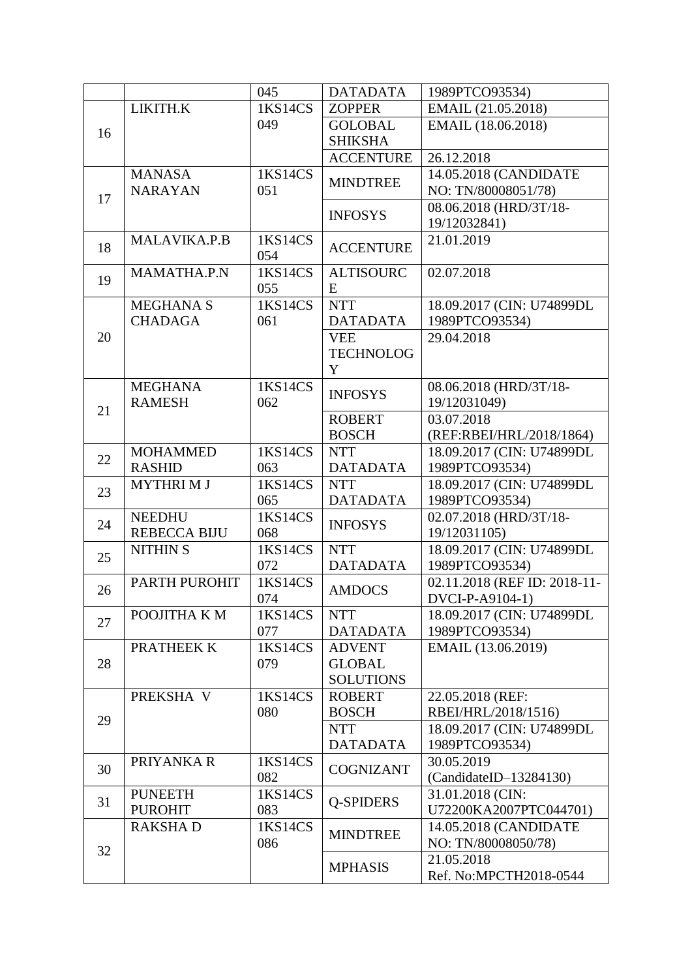|    |                     | 045            | <b>DATADATA</b>               | 1989PTCO93534)                              |
|----|---------------------|----------------|-------------------------------|---------------------------------------------|
|    | LIKITH.K            | 1KS14CS        | <b>ZOPPER</b>                 | EMAIL (21.05.2018)                          |
|    |                     | 049            | <b>GOLOBAL</b>                | EMAIL (18.06.2018)                          |
| 16 |                     |                | <b>SHIKSHA</b>                |                                             |
|    |                     |                | <b>ACCENTURE</b>              | 26.12.2018                                  |
|    | <b>MANASA</b>       | 1KS14CS        |                               | 14.05.2018 (CANDIDATE                       |
|    | <b>NARAYAN</b>      | 051            | <b>MINDTREE</b>               | NO: TN/80008051/78)                         |
| 17 |                     |                |                               | 08.06.2018 (HRD/3T/18-                      |
|    |                     |                | <b>INFOSYS</b>                | 19/12032841)                                |
|    | MALAVIKA.P.B        | 1KS14CS        |                               | 21.01.2019                                  |
| 18 |                     | 054            | <b>ACCENTURE</b>              |                                             |
| 19 | MAMATHA.P.N         | 1KS14CS        | <b>ALTISOURC</b>              | 02.07.2018                                  |
|    |                     | 055            | E                             |                                             |
|    | <b>MEGHANA S</b>    | 1KS14CS        | <b>NTT</b>                    | 18.09.2017 (CIN: U74899DL                   |
|    | <b>CHADAGA</b>      | 061            | <b>DATADATA</b>               | 1989PTCO93534)                              |
| 20 |                     |                | <b>VEE</b>                    | 29.04.2018                                  |
|    |                     |                | <b>TECHNOLOG</b>              |                                             |
|    |                     |                | Y                             |                                             |
|    | <b>MEGHANA</b>      | 1KS14CS        | <b>INFOSYS</b>                | 08.06.2018 (HRD/3T/18-                      |
| 21 | <b>RAMESH</b>       | 062            |                               | 19/12031049)                                |
|    |                     |                | <b>ROBERT</b>                 | 03.07.2018                                  |
|    |                     |                | <b>BOSCH</b>                  | (REF:RBEI/HRL/2018/1864)                    |
| 22 | <b>MOHAMMED</b>     | 1KS14CS        | <b>NTT</b>                    | 18.09.2017 (CIN: U74899DL                   |
|    | <b>RASHID</b>       | 063            | <b>DATADATA</b>               | 1989PTCO93534)                              |
| 23 | <b>MYTHRIMJ</b>     | 1KS14CS        | <b>NTT</b>                    | 18.09.2017 (CIN: U74899DL                   |
|    |                     | 065            | <b>DATADATA</b>               | 1989PTCO93534)                              |
| 24 | <b>NEEDHU</b>       | 1KS14CS        | <b>INFOSYS</b>                | 02.07.2018 (HRD/3T/18-                      |
|    | <b>REBECCA BIJU</b> | 068            |                               | 19/12031105)                                |
| 25 | <b>NITHIN S</b>     | 1KS14CS        | <b>NTT</b>                    | 18.09.2017 (CIN: U74899DL                   |
|    |                     | 072            | <b>DATADATA</b>               | 1989PTCO93534)                              |
| 26 | PARTH PUROHIT       | 1KS14CS        | <b>AMDOCS</b>                 | 02.11.2018 (REF ID: 2018-11-                |
|    |                     | 074<br>1KS14CS |                               | DVCI-P-A9104-1)                             |
| 27 | POOJITHA K M        | 077            | <b>NTT</b><br><b>DATADATA</b> | 18.09.2017 (CIN: U74899DL<br>1989PTCO93534) |
|    | PRATHEEK K          | 1KS14CS        | <b>ADVENT</b>                 | EMAIL (13.06.2019)                          |
| 28 |                     | 079            | <b>GLOBAL</b>                 |                                             |
|    |                     |                | <b>SOLUTIONS</b>              |                                             |
|    | PREKSHA V           | 1KS14CS        | <b>ROBERT</b>                 | 22.05.2018 (REF:                            |
|    |                     | 080            | <b>BOSCH</b>                  | RBEI/HRL/2018/1516)                         |
| 29 |                     |                | <b>NTT</b>                    | 18.09.2017 (CIN: U74899DL                   |
|    |                     |                | <b>DATADATA</b>               | 1989PTCO93534)                              |
|    | PRIYANKA R          | 1KS14CS        |                               | 30.05.2019                                  |
| 30 |                     | 082            | <b>COGNIZANT</b>              | $(CandidateID-13284130)$                    |
|    | <b>PUNEETH</b>      | 1KS14CS        |                               | 31.01.2018 (CIN:                            |
| 31 | <b>PUROHIT</b>      | 083            | <b>O-SPIDERS</b>              | U72200KA2007PTC044701)                      |
|    | <b>RAKSHAD</b>      | 1KS14CS        |                               | 14.05.2018 (CANDIDATE                       |
|    |                     | 086            | <b>MINDTREE</b>               | NO: TN/80008050/78)                         |
| 32 |                     |                |                               | 21.05.2018                                  |
|    |                     |                | <b>MPHASIS</b>                | Ref. No:MPCTH2018-0544                      |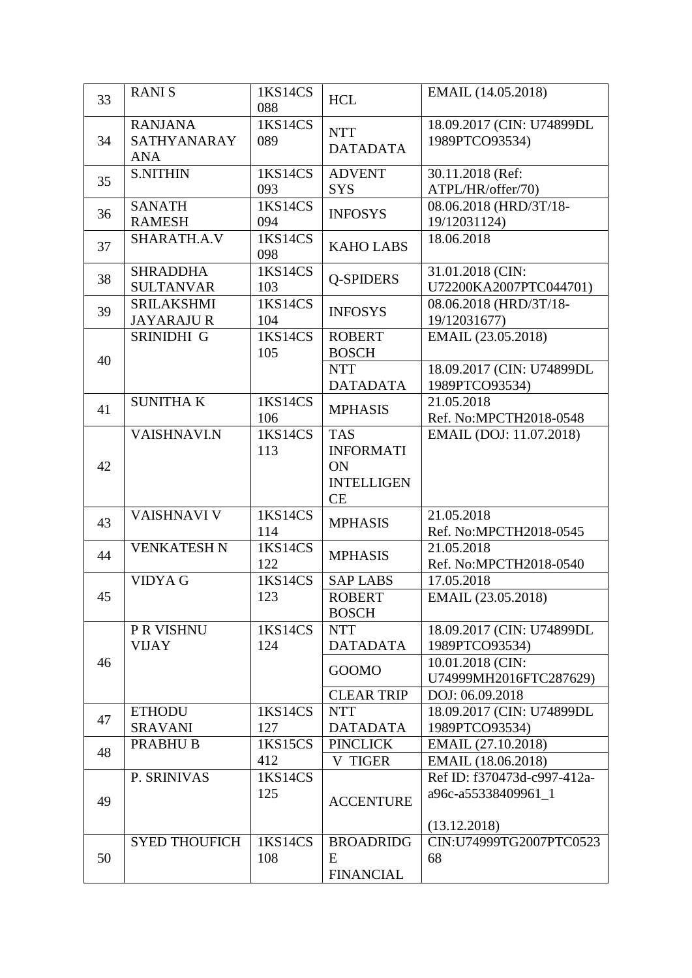| 33 | <b>RANIS</b>                                | 1KS14CS<br>088 | <b>HCL</b>                                                      | EMAIL (14.05.2018)                          |
|----|---------------------------------------------|----------------|-----------------------------------------------------------------|---------------------------------------------|
| 34 | <b>RANJANA</b><br>SATHYANARAY<br><b>ANA</b> | 1KS14CS<br>089 | <b>NTT</b><br><b>DATADATA</b>                                   | 18.09.2017 (CIN: U74899DL<br>1989PTCO93534) |
| 35 | <b>S.NITHIN</b>                             | 1KS14CS<br>093 | <b>ADVENT</b><br><b>SYS</b>                                     | 30.11.2018 (Ref:<br>ATPL/HR/offer/70)       |
| 36 | <b>SANATH</b><br><b>RAMESH</b>              | 1KS14CS<br>094 | <b>INFOSYS</b>                                                  | 08.06.2018 (HRD/3T/18-<br>19/12031124)      |
| 37 | SHARATH.A.V                                 | 1KS14CS<br>098 | <b>KAHO LABS</b>                                                | 18.06.2018                                  |
| 38 | <b>SHRADDHA</b><br><b>SULTANVAR</b>         | 1KS14CS<br>103 | <b>Q-SPIDERS</b>                                                | 31.01.2018 (CIN:<br>U72200KA2007PTC044701)  |
| 39 | <b>SRILAKSHMI</b><br><b>JAYARAJUR</b>       | 1KS14CS<br>104 | <b>INFOSYS</b>                                                  | 08.06.2018 (HRD/3T/18-<br>19/12031677)      |
| 40 | SRINIDHI G                                  | 1KS14CS<br>105 | <b>ROBERT</b><br><b>BOSCH</b>                                   | EMAIL (23.05.2018)                          |
|    |                                             |                | <b>NTT</b><br><b>DATADATA</b>                                   | 18.09.2017 (CIN: U74899DL<br>1989PTCO93534) |
| 41 | <b>SUNITHAK</b>                             | 1KS14CS<br>106 | <b>MPHASIS</b>                                                  | 21.05.2018<br>Ref. No:MPCTH2018-0548        |
| 42 | <b>VAISHNAVI.N</b>                          | 1KS14CS<br>113 | <b>TAS</b><br><b>INFORMATI</b><br>ON<br><b>INTELLIGEN</b><br>CE | EMAIL (DOJ: 11.07.2018)                     |
| 43 | <b>VAISHNAVI V</b>                          | 1KS14CS<br>114 | <b>MPHASIS</b>                                                  | 21.05.2018<br>Ref. No:MPCTH2018-0545        |
| 44 | <b>VENKATESH N</b>                          | 1KS14CS<br>122 | <b>MPHASIS</b>                                                  | 21.05.2018<br>Ref. No:MPCTH2018-0540        |
|    | <b>VIDYA G</b>                              | 1KS14CS        | <b>SAP LABS</b>                                                 | 17.05.2018                                  |
| 45 |                                             | 123            | <b>ROBERT</b><br><b>BOSCH</b>                                   | EMAIL (23.05.2018)                          |
|    | P R VISHNU<br><b>VIJAY</b>                  | 1KS14CS<br>124 | <b>NTT</b><br><b>DATADATA</b>                                   | 18.09.2017 (CIN: U74899DL<br>1989PTCO93534) |
| 46 |                                             |                | <b>GOOMO</b>                                                    | 10.01.2018 (CIN:<br>U74999MH2016FTC287629)  |
|    |                                             |                | <b>CLEAR TRIP</b>                                               | DOJ: 06.09.2018                             |
| 47 | <b>ETHODU</b>                               | 1KS14CS        | <b>NTT</b>                                                      | 18.09.2017 (CIN: U74899DL                   |
|    | <b>SRAVANI</b>                              | 127            | <b>DATADATA</b>                                                 | 1989PTCO93534)                              |
| 48 | PRABHU <sub>B</sub>                         | 1KS15CS<br>412 | <b>PINCLICK</b><br><b>V TIGER</b>                               | EMAIL (27.10.2018)<br>EMAIL (18.06.2018)    |
|    | P. SRINIVAS                                 | 1KS14CS        |                                                                 | Ref ID: f370473d-c997-412a-                 |
| 49 |                                             | 125            | <b>ACCENTURE</b>                                                | a96c-a55338409961_1                         |
|    |                                             |                |                                                                 | (13.12.2018)                                |
| 50 | <b>SYED THOUFICH</b>                        | 1KS14CS<br>108 | <b>BROADRIDG</b><br>E<br><b>FINANCIAL</b>                       | CIN:U74999TG2007PTC0523<br>68               |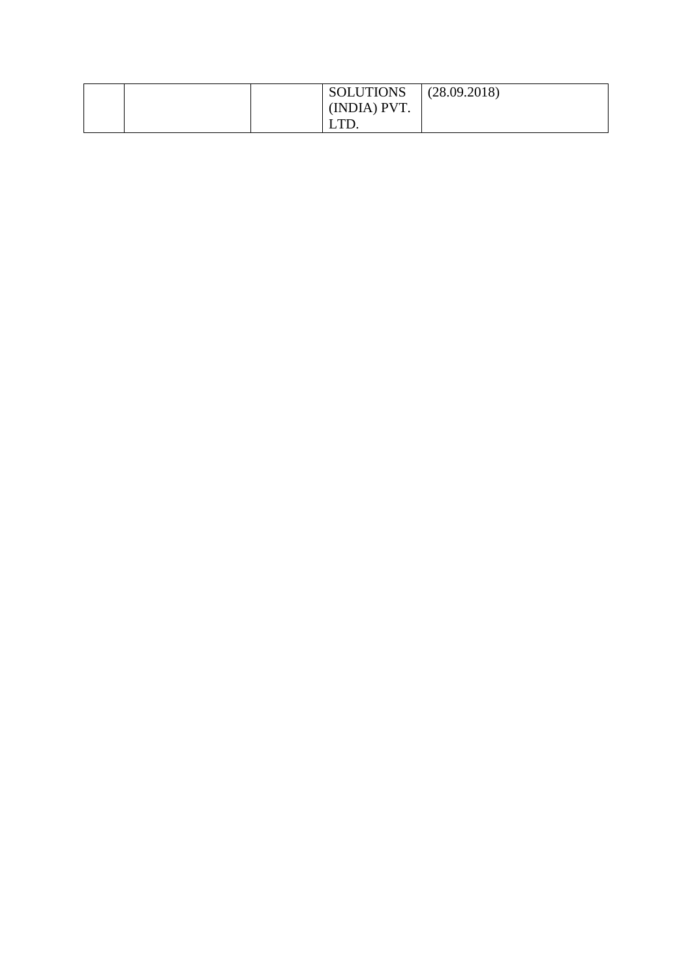|  | <b>SOLUTIONS</b> | (28.09.2018) |
|--|------------------|--------------|
|  | (INDIA) PVT.     |              |
|  | TТ<br>LID.       |              |